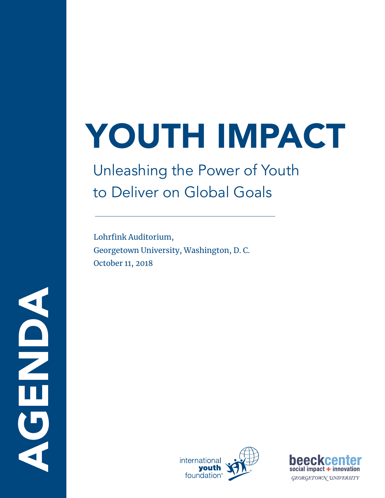# YOUTH IMPACT

# Unleashing the Power of Youth to Deliver on Global Goals

Lohrfink Auditorium, Georgetown University, Washington, D. C. October 11, 2018



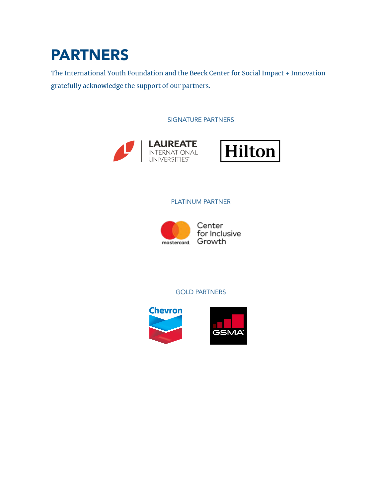## PARTNERS

The International Youth Foundation and the Beeck Center for Social Impact + Innovation gratefully acknowledge the support of our partners.

SIGNATURE PARTNERS





#### PLATINUM PARTNER



Center for Inclusive

#### GOLD PARTNERS

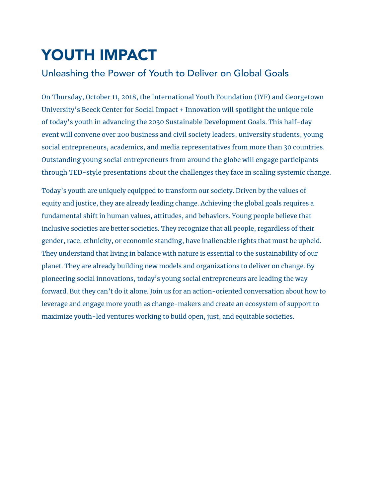# YOUTH IMPACT

### Unleashing the Power of Youth to Deliver on Global Goals

On Thursday, October 11, 2018, the International Youth Foundation (IYF) and Georgetown University's Beeck Center for Social Impact + Innovation will spotlight the unique role of today's youth in advancing the 2030 Sustainable Development Goals. This half-day event will convene over 200 business and civil society leaders, university students, young social entrepreneurs, academics, and media representatives from more than 30 countries. Outstanding young social entrepreneurs from around the globe will engage participants through TED-style presentations about the challenges they face in scaling systemic change.

Today's youth are uniquely equipped to transform our society. Driven by the values of equity and justice, they are already leading change. Achieving the global goals requires a fundamental shift in human values, attitudes, and behaviors. Young people believe that inclusive societies are better societies. They recognize that all people, regardless of their gender, race, ethnicity, or economic standing, have inalienable rights that must be upheld. They understand that living in balance with nature is essential to the sustainability of our planet. They are already building new models and organizations to deliver on change. By pioneering social innovations, today's young social entrepreneurs are leading the way forward. But they can't do it alone. Join us for an action-oriented conversation about how to leverage and engage more youth as change-makers and create an ecosystem of support to maximize youth-led ventures working to build open, just, and equitable societies.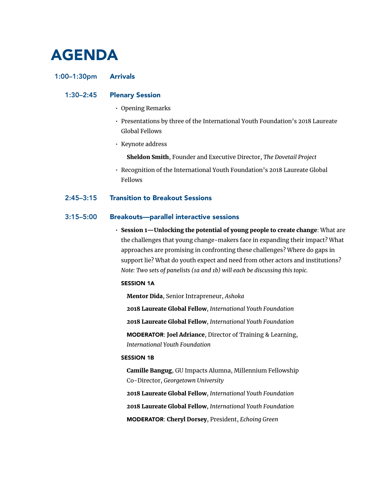### AGENDA

#### 1:00–1:30pm Arrivals

#### 1:30–2:45 Plenary Session

- Opening Remarks
- Presentations by three of the International Youth Foundation's 2018 Laureate Global Fellows
- Keynote address

Sheldon Smith, Founder and Executive Director, *The Dovetail Project*

• Recognition of the International Youth Foundation's 2018 Laureate Global Fellows

#### 2:45–3:15 Transition to Breakout Sessions

#### 3:15–5:00 Breakouts—parallel interactive sessions

• Session 1—Unlocking the potential of young people to create change: What are the challenges that young change-makers face in expanding their impact? What approaches are promising in confronting these challenges? Where do gaps in support lie? What do youth expect and need from other actors and institutions? *Note: Two sets of panelists (1a and 1b) will each be discussing this topic.* 

#### SESSION 1A

Mentor Dida, Senior Intrapreneur, *Ashoka*

2018 Laureate Global Fellow, *International Youth Foundation* 2018 Laureate Global Fellow, *International Youth Foundation* MODERATOR: Joel Adriance, Director of Training & Learning, *International Youth Foundation*

#### SESSION 1B

Camille Bangug, GU Impacts Alumna, Millennium Fellowship Co-Director, *Georgetown University*

2018 Laureate Global Fellow, *International Youth Foundation* 2018 Laureate Global Fellow, *International Youth Foundation* MODERATOR: Cheryl Dorsey, President, *Echoing Green*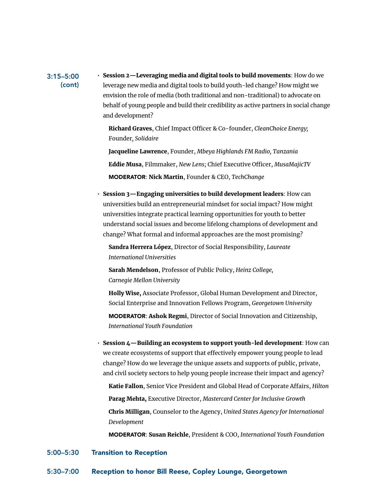#### 3:15–5:00 (cont)

• Session 2—Leveraging media and digital tools to build movements: How do we leverage new media and digital tools to build youth-led change? How might we envision the role of media (both traditional and non-traditional) to advocate on behalf of young people and build their credibility as active partners in social change and development?

Richard Graves, Chief Impact Officer & Co-founder, *CleanChoice Energy;*  Founder*, Solidaire*

Jacqueline Lawrence, Founder, *Mbeya Highlands FM Radio, Tanzania* Eddie Musa, Filmmaker, *New Lens*; Chief Executive Officer, *MusaMajicTV* MODERATOR: Nick Martin, Founder & CEO, *TechChange*

• Session 3—Engaging universities to build development leaders: How can universities build an entrepreneurial mindset for social impact? How might universities integrate practical learning opportunities for youth to better understand social issues and become lifelong champions of development and change? What formal and informal approaches are the most promising?

Sandra Herrera López, Director of Social Responsibility, *Laureate International Universities*

Sarah Mendelson, Professor of Public Policy, *Heinz College, Carnegie Mellon University*

Holly Wise, Associate Professor, Global Human Development and Director, Social Enterprise and Innovation Fellows Program, *Georgetown University*

MODERATOR: Ashok Regmi, Director of Social Innovation and Citizenship, *International Youth Foundation*

• Session 4—Building an ecosystem to support youth-led development: How can we create ecosystems of support that effectively empower young people to lead change? How do we leverage the unique assets and supports of public, private, and civil society sectors to help young people increase their impact and agency?

Katie Fallon, Senior Vice President and Global Head of Corporate Affairs, *Hilton* Parag Mehta, Executive Director, *Mastercard Center for Inclusive Growth*

Chris Milligan, Counselor to the Agency, *United States Agency for International Development*

MODERATOR: Susan Reichle, President & COO, *International Youth Foundation*

#### 5:00–5:30 Transition to Reception